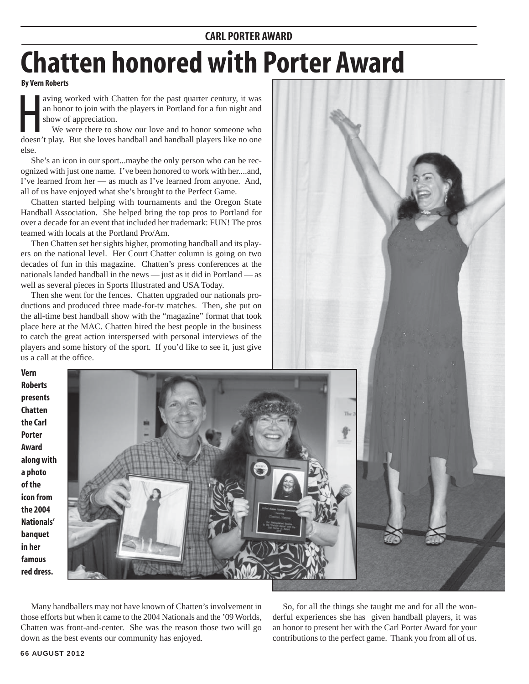## **CARL PORTER AWARD**

## **Chatten honored with Porter Award**

## **By Vern Roberts**

aving worked with Chatten for the past quarter century, it was an honor to join with the players in Portland for a fun night and show of appreciation.<br>We were there to show our love and to honor someone who doesn't play. B aving worked with Chatten for the past quarter century, it was an honor to join with the players in Portland for a fun night and show of appreciation.

 We were there to show our love and to honor someone who else.

 She's an icon in our sport...maybe the only person who can be recognized with just one name. I've been honored to work with her....and, I've learned from her — as much as I've learned from anyone. And, all of us have enjoyed what she's brought to the Perfect Game.

 Chatten started helping with tournaments and the Oregon State Handball Association. She helped bring the top pros to Portland for over a decade for an event that included her trademark: FUN! The pros teamed with locals at the Portland Pro/Am.

 Then Chatten set her sights higher, promoting handball and its players on the national level. Her Court Chatter column is going on two decades of fun in this magazine. Chatten's press conferences at the nationals landed handball in the news — just as it did in Portland — as well as several pieces in Sports Illustrated and USA Today.

 Then she went for the fences. Chatten upgraded our nationals productions and produced three made-for-tv matches. Then, she put on the all-time best handball show with the "magazine" format that took place here at the MAC. Chatten hired the best people in the business to catch the great action interspersed with personal interviews of the players and some history of the sport. If you'd like to see it, just give us a call at the office.

**Vern Roberts presents Chatten the Carl Porter Award along with a photo of the icon from the 2004 Nationals' banquet in her famous red dress.**



 Many handballers may not have known of Chatten's involvement in those efforts but when it came to the 2004 Nationals and the '09 Worlds, Chatten was front-and-center. She was the reason those two will go down as the best events our community has enjoyed.

 So, for all the things she taught me and for all the wonderful experiences she has given handball players, it was an honor to present her with the Carl Porter Award for your contributions to the perfect game. Thank you from all of us.